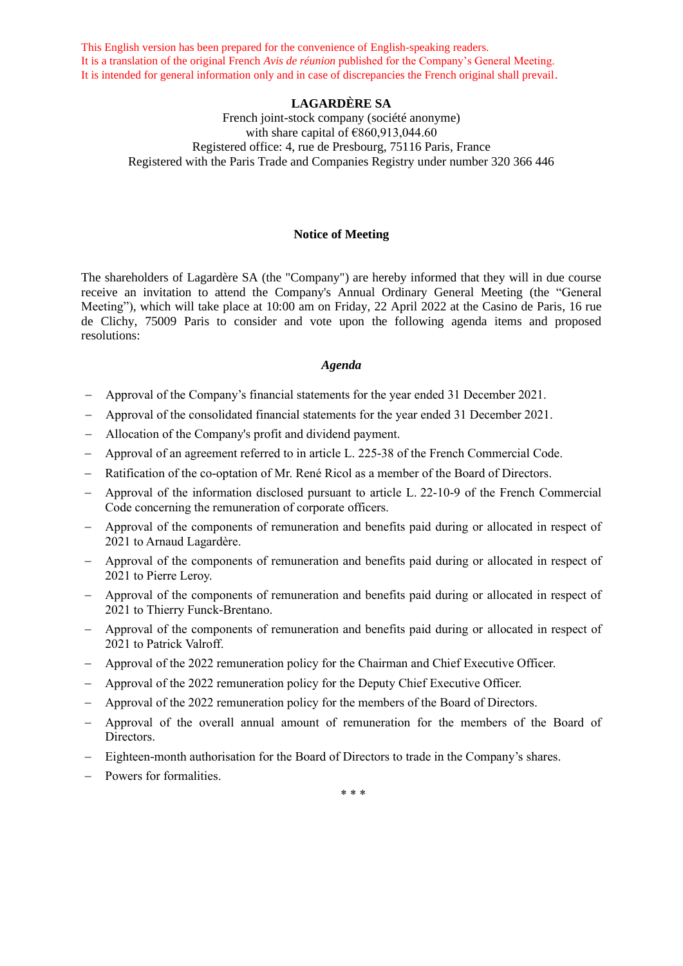This English version has been prepared for the convenience of English-speaking readers. It is a translation of the original French *Avis de réunion* published for the Company's General Meeting. It is intended for general information only and in case of discrepancies the French original shall prevail.

## **LAGARDÈRE SA**

French joint-stock company (société anonyme) with share capital of  $€860,913,044.60$ Registered office: 4, rue de Presbourg, 75116 Paris, France Registered with the Paris Trade and Companies Registry under number 320 366 446

### **Notice of Meeting**

The shareholders of Lagardère SA (the "Company") are hereby informed that they will in due course receive an invitation to attend the Company's Annual Ordinary General Meeting (the "General Meeting"), which will take place at 10:00 am on Friday, 22 April 2022 at the Casino de Paris, 16 rue de Clichy, 75009 Paris to consider and vote upon the following agenda items and proposed resolutions:

### *Agenda*

- − Approval of the Company's financial statements for the year ended 31 December 2021.
- − Approval of the consolidated financial statements for the year ended 31 December 2021.
- − Allocation of the Company's profit and dividend payment.
- − Approval of an agreement referred to in article L. 225-38 of the French Commercial Code.
- − Ratification of the co-optation of Mr. René Ricol as a member of the Board of Directors.
- − Approval of the information disclosed pursuant to article L. 22-10-9 of the French Commercial Code concerning the remuneration of corporate officers.
- − Approval of the components of remuneration and benefits paid during or allocated in respect of 2021 to Arnaud Lagardère.
- − Approval of the components of remuneration and benefits paid during or allocated in respect of 2021 to Pierre Leroy.
- − Approval of the components of remuneration and benefits paid during or allocated in respect of 2021 to Thierry Funck-Brentano.
- − Approval of the components of remuneration and benefits paid during or allocated in respect of 2021 to Patrick Valroff.
- − Approval of the 2022 remuneration policy for the Chairman and Chief Executive Officer.
- − Approval of the 2022 remuneration policy for the Deputy Chief Executive Officer.
- − Approval of the 2022 remuneration policy for the members of the Board of Directors.
- − Approval of the overall annual amount of remuneration for the members of the Board of Directors.
- − Eighteen-month authorisation for the Board of Directors to trade in the Company's shares.
- − Powers for formalities.

\* \* \*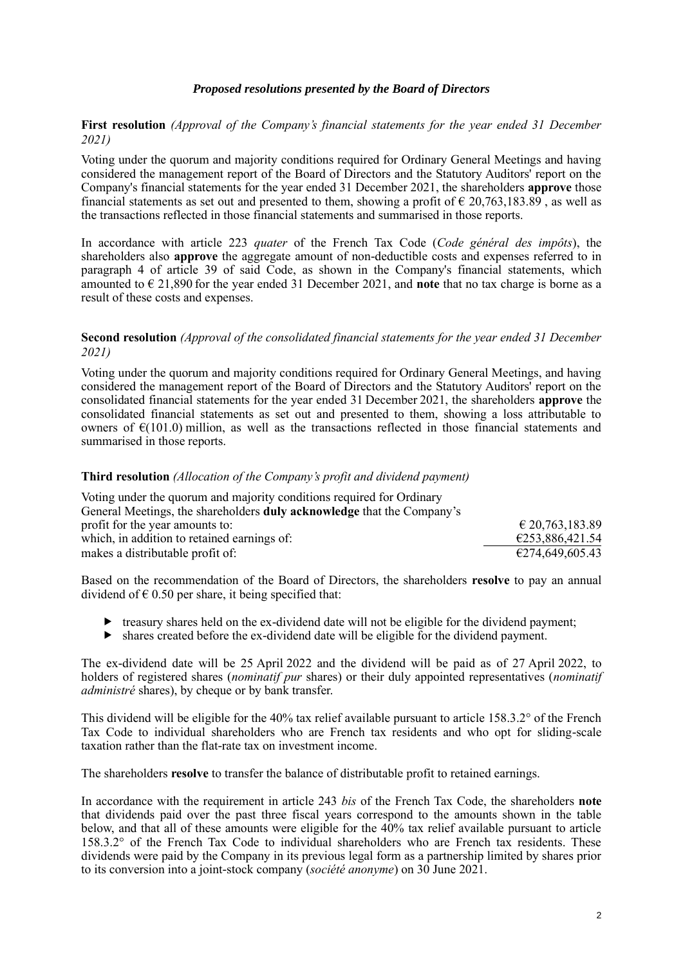## *Proposed resolutions presented by the Board of Directors*

# **First resolution** *(Approval of the Company's financial statements for the year ended 31 December 2021)*

Voting under the quorum and majority conditions required for Ordinary General Meetings and having considered the management report of the Board of Directors and the Statutory Auditors' report on the Company's financial statements for the year ended 31 December 2021, the shareholders **approve** those financial statements as set out and presented to them, showing a profit of  $\epsilon$  20,763,183.89, as well as the transactions reflected in those financial statements and summarised in those reports.

In accordance with article 223 *quater* of the French Tax Code (*Code général des impôts*), the shareholders also **approve** the aggregate amount of non-deductible costs and expenses referred to in paragraph 4 of article 39 of said Code, as shown in the Company's financial statements, which amounted to € 21,890 for the year ended 31 December 2021, and **note** that no tax charge is borne as a result of these costs and expenses.

### **Second resolution** *(Approval of the consolidated financial statements for the year ended 31 December 2021)*

Voting under the quorum and majority conditions required for Ordinary General Meetings, and having considered the management report of the Board of Directors and the Statutory Auditors' report on the consolidated financial statements for the year ended 31 December 2021, the shareholders **approve** the consolidated financial statements as set out and presented to them, showing a loss attributable to owners of  $\epsilon(101.0)$  million, as well as the transactions reflected in those financial statements and summarised in those reports.

#### **Third resolution** *(Allocation of the Company's profit and dividend payment)*

| Voting under the quorum and majority conditions required for Ordinary         |                                     |
|-------------------------------------------------------------------------------|-------------------------------------|
| General Meetings, the shareholders <b>duly acknowledge</b> that the Company's |                                     |
| profit for the year amounts to:                                               | $\text{\textsterling}20,763,183.89$ |
| which, in addition to retained earnings of:                                   | €253,886,421.54                     |
| makes a distributable profit of:                                              | €274,649,605.43                     |

Based on the recommendation of the Board of Directors, the shareholders **resolve** to pay an annual dividend of  $\epsilon$  0.50 per share, it being specified that:

- $\triangleright$  treasury shares held on the ex-dividend date will not be eligible for the dividend payment;
- $\blacktriangleright$  shares created before the ex-dividend date will be eligible for the dividend payment.

The ex-dividend date will be 25 April 2022 and the dividend will be paid as of 27 April 2022, to holders of registered shares (*nominatif pur* shares) or their duly appointed representatives (*nominatif administré* shares), by cheque or by bank transfer.

This dividend will be eligible for the 40% tax relief available pursuant to article 158.3.2° of the French Tax Code to individual shareholders who are French tax residents and who opt for sliding-scale taxation rather than the flat-rate tax on investment income.

The shareholders **resolve** to transfer the balance of distributable profit to retained earnings.

In accordance with the requirement in article 243 *bis* of the French Tax Code, the shareholders **note** that dividends paid over the past three fiscal years correspond to the amounts shown in the table below, and that all of these amounts were eligible for the 40% tax relief available pursuant to article 158.3.2° of the French Tax Code to individual shareholders who are French tax residents. These dividends were paid by the Company in its previous legal form as a partnership limited by shares prior to its conversion into a joint-stock company (*société anonyme*) on 30 June 2021.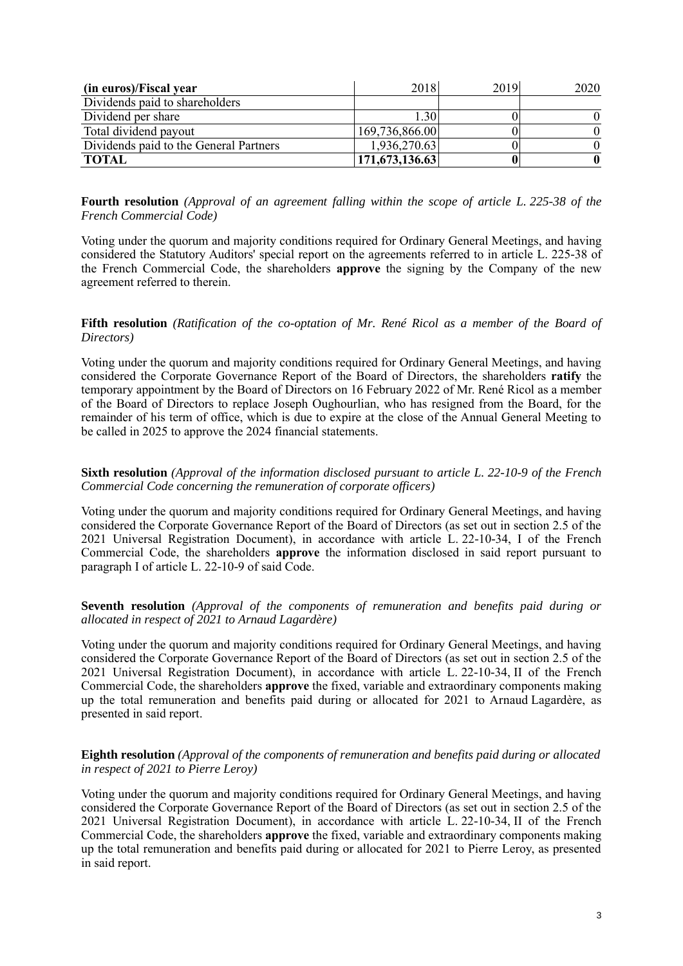| (in euros)/Fiscal year                 | 2018           | 2019 | 2020 |
|----------------------------------------|----------------|------|------|
| Dividends paid to shareholders         |                |      |      |
| Dividend per share                     | 1.30           |      |      |
| Total dividend payout                  | 169,736,866.00 |      |      |
| Dividends paid to the General Partners | 1,936,270.63   |      |      |
| <b>TOTAL</b>                           | 171,673,136.63 |      |      |

**Fourth resolution** *(Approval of an agreement falling within the scope of article L. 225-38 of the French Commercial Code)*

Voting under the quorum and majority conditions required for Ordinary General Meetings, and having considered the Statutory Auditors' special report on the agreements referred to in article L. 225-38 of the French Commercial Code, the shareholders **approve** the signing by the Company of the new agreement referred to therein.

#### **Fifth resolution** *(Ratification of the co-optation of Mr. René Ricol as a member of the Board of Directors)*

Voting under the quorum and majority conditions required for Ordinary General Meetings, and having considered the Corporate Governance Report of the Board of Directors, the shareholders **ratify** the temporary appointment by the Board of Directors on 16 February 2022 of Mr. René Ricol as a member of the Board of Directors to replace Joseph Oughourlian, who has resigned from the Board, for the remainder of his term of office, which is due to expire at the close of the Annual General Meeting to be called in 2025 to approve the 2024 financial statements.

### **Sixth resolution** *(Approval of the information disclosed pursuant to article L. 22-10-9 of the French Commercial Code concerning the remuneration of corporate officers)*

Voting under the quorum and majority conditions required for Ordinary General Meetings, and having considered the Corporate Governance Report of the Board of Directors (as set out in section 2.5 of the 2021 Universal Registration Document), in accordance with article L. 22-10-34, I of the French Commercial Code, the shareholders **approve** the information disclosed in said report pursuant to paragraph I of article L. 22-10-9 of said Code.

### **Seventh resolution** *(Approval of the components of remuneration and benefits paid during or allocated in respect of 2021 to Arnaud Lagardère)*

Voting under the quorum and majority conditions required for Ordinary General Meetings, and having considered the Corporate Governance Report of the Board of Directors (as set out in section 2.5 of the 2021 Universal Registration Document), in accordance with article L. 22-10-34, II of the French Commercial Code, the shareholders **approve** the fixed, variable and extraordinary components making up the total remuneration and benefits paid during or allocated for 2021 to Arnaud Lagardère, as presented in said report.

### **Eighth resolution** *(Approval of the components of remuneration and benefits paid during or allocated in respect of 2021 to Pierre Leroy)*

Voting under the quorum and majority conditions required for Ordinary General Meetings, and having considered the Corporate Governance Report of the Board of Directors (as set out in section 2.5 of the 2021 Universal Registration Document), in accordance with article L. 22-10-34, II of the French Commercial Code, the shareholders **approve** the fixed, variable and extraordinary components making up the total remuneration and benefits paid during or allocated for 2021 to Pierre Leroy, as presented in said report.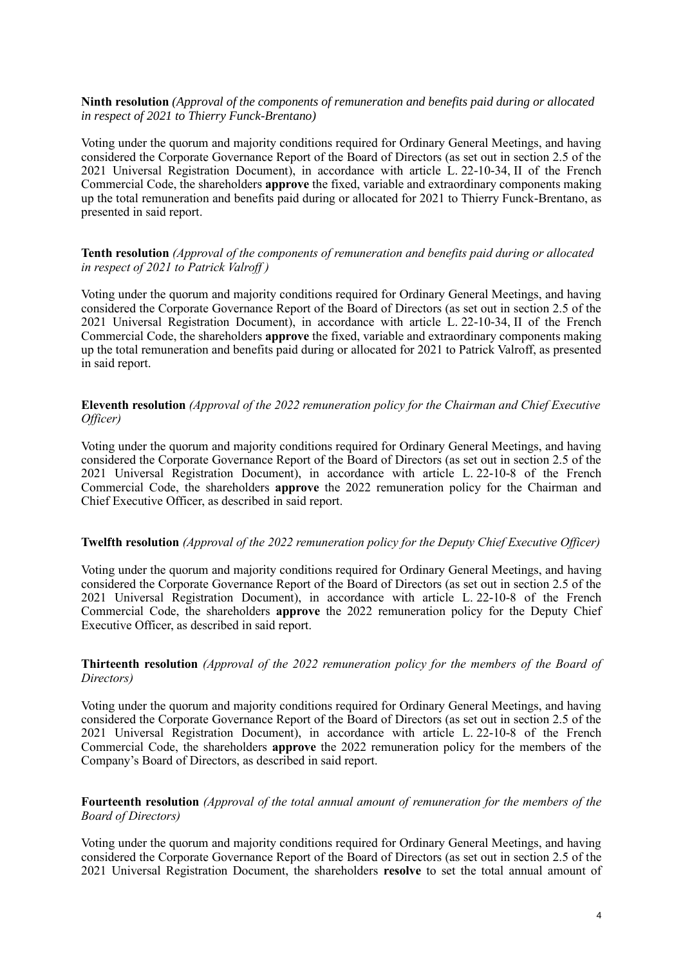### **Ninth resolution** *(Approval of the components of remuneration and benefits paid during or allocated in respect of 2021 to Thierry Funck-Brentano)*

Voting under the quorum and majority conditions required for Ordinary General Meetings, and having considered the Corporate Governance Report of the Board of Directors (as set out in section 2.5 of the 2021 Universal Registration Document), in accordance with article L. 22-10-34, II of the French Commercial Code, the shareholders **approve** the fixed, variable and extraordinary components making up the total remuneration and benefits paid during or allocated for 2021 to Thierry Funck-Brentano, as presented in said report.

### **Tenth resolution** *(Approval of the components of remuneration and benefits paid during or allocated in respect of 2021 to Patrick Valroff )*

Voting under the quorum and majority conditions required for Ordinary General Meetings, and having considered the Corporate Governance Report of the Board of Directors (as set out in section 2.5 of the 2021 Universal Registration Document), in accordance with article L. 22-10-34, II of the French Commercial Code, the shareholders **approve** the fixed, variable and extraordinary components making up the total remuneration and benefits paid during or allocated for 2021 to Patrick Valroff, as presented in said report.

### **Eleventh resolution** *(Approval of the 2022 remuneration policy for the Chairman and Chief Executive Officer)*

Voting under the quorum and majority conditions required for Ordinary General Meetings, and having considered the Corporate Governance Report of the Board of Directors (as set out in section 2.5 of the 2021 Universal Registration Document), in accordance with article L. 22-10-8 of the French Commercial Code, the shareholders **approve** the 2022 remuneration policy for the Chairman and Chief Executive Officer, as described in said report.

### **Twelfth resolution** *(Approval of the 2022 remuneration policy for the Deputy Chief Executive Officer)*

Voting under the quorum and majority conditions required for Ordinary General Meetings, and having considered the Corporate Governance Report of the Board of Directors (as set out in section 2.5 of the 2021 Universal Registration Document), in accordance with article L. 22-10-8 of the French Commercial Code, the shareholders **approve** the 2022 remuneration policy for the Deputy Chief Executive Officer, as described in said report.

## **Thirteenth resolution** *(Approval of the 2022 remuneration policy for the members of the Board of Directors)*

Voting under the quorum and majority conditions required for Ordinary General Meetings, and having considered the Corporate Governance Report of the Board of Directors (as set out in section 2.5 of the 2021 Universal Registration Document), in accordance with article L. 22-10-8 of the French Commercial Code, the shareholders **approve** the 2022 remuneration policy for the members of the Company's Board of Directors, as described in said report.

### **Fourteenth resolution** *(Approval of the total annual amount of remuneration for the members of the Board of Directors)*

Voting under the quorum and majority conditions required for Ordinary General Meetings, and having considered the Corporate Governance Report of the Board of Directors (as set out in section 2.5 of the 2021 Universal Registration Document, the shareholders **resolve** to set the total annual amount of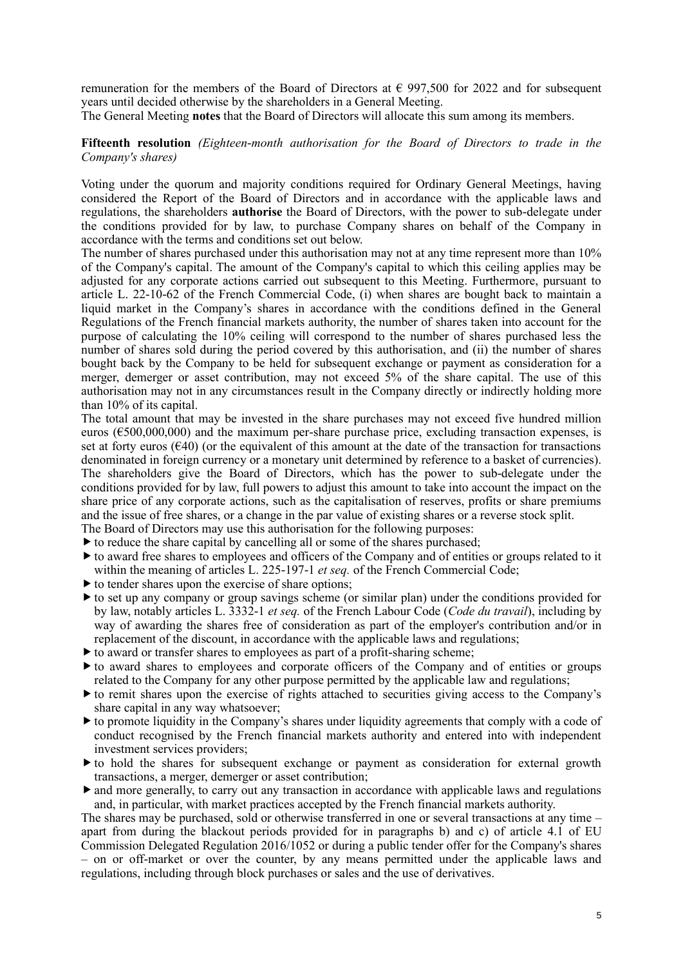remuneration for the members of the Board of Directors at  $\epsilon$  997,500 for 2022 and for subsequent years until decided otherwise by the shareholders in a General Meeting.

The General Meeting **notes** that the Board of Directors will allocate this sum among its members.

**Fifteenth resolution** *(Eighteen-month authorisation for the Board of Directors to trade in the Company's shares)*

Voting under the quorum and majority conditions required for Ordinary General Meetings, having considered the Report of the Board of Directors and in accordance with the applicable laws and regulations, the shareholders **authorise** the Board of Directors, with the power to sub-delegate under the conditions provided for by law, to purchase Company shares on behalf of the Company in accordance with the terms and conditions set out below.

The number of shares purchased under this authorisation may not at any time represent more than 10% of the Company's capital. The amount of the Company's capital to which this ceiling applies may be adjusted for any corporate actions carried out subsequent to this Meeting. Furthermore, pursuant to article L. 22-10-62 of the French Commercial Code, (i) when shares are bought back to maintain a liquid market in the Company's shares in accordance with the conditions defined in the General Regulations of the French financial markets authority, the number of shares taken into account for the purpose of calculating the 10% ceiling will correspond to the number of shares purchased less the number of shares sold during the period covered by this authorisation, and (ii) the number of shares bought back by the Company to be held for subsequent exchange or payment as consideration for a merger, demerger or asset contribution, may not exceed 5% of the share capital. The use of this authorisation may not in any circumstances result in the Company directly or indirectly holding more than 10% of its capital.

The total amount that may be invested in the share purchases may not exceed five hundred million euros ( $\epsilon$ 500,000,000) and the maximum per-share purchase price, excluding transaction expenses, is set at forty euros  $(640)$  (or the equivalent of this amount at the date of the transaction for transactions denominated in foreign currency or a monetary unit determined by reference to a basket of currencies). The shareholders give the Board of Directors, which has the power to sub-delegate under the conditions provided for by law, full powers to adjust this amount to take into account the impact on the share price of any corporate actions, such as the capitalisation of reserves, profits or share premiums and the issue of free shares, or a change in the par value of existing shares or a reverse stock split.

The Board of Directors may use this authorisation for the following purposes:  $\triangleright$  to reduce the share capital by cancelling all or some of the shares purchased;

- to award free shares to employees and officers of the Company and of entities or groups related to it
- within the meaning of articles L. 225-197-1 *et seq.* of the French Commercial Code;
- $\triangleright$  to tender shares upon the exercise of share options;
- to set up any company or group savings scheme (or similar plan) under the conditions provided for by law, notably articles L. 3332-1 *et seq.* of the French Labour Code (*Code du travail*), including by way of awarding the shares free of consideration as part of the employer's contribution and/or in replacement of the discount, in accordance with the applicable laws and regulations;
- $\triangleright$  to award or transfer shares to employees as part of a profit-sharing scheme;
- $\blacktriangleright$  to award shares to employees and corporate officers of the Company and of entities or groups related to the Company for any other purpose permitted by the applicable law and regulations;
- to remit shares upon the exercise of rights attached to securities giving access to the Company's share capital in any way whatsoever;
- $\blacktriangleright$  to promote liquidity in the Company's shares under liquidity agreements that comply with a code of conduct recognised by the French financial markets authority and entered into with independent investment services providers;
- $\triangleright$  to hold the shares for subsequent exchange or payment as consideration for external growth transactions, a merger, demerger or asset contribution;
- and more generally, to carry out any transaction in accordance with applicable laws and regulations and, in particular, with market practices accepted by the French financial markets authority.

The shares may be purchased, sold or otherwise transferred in one or several transactions at any time – apart from during the blackout periods provided for in paragraphs b) and c) of article 4.1 of EU Commission Delegated Regulation 2016/1052 or during a public tender offer for the Company's shares – on or off-market or over the counter, by any means permitted under the applicable laws and regulations, including through block purchases or sales and the use of derivatives.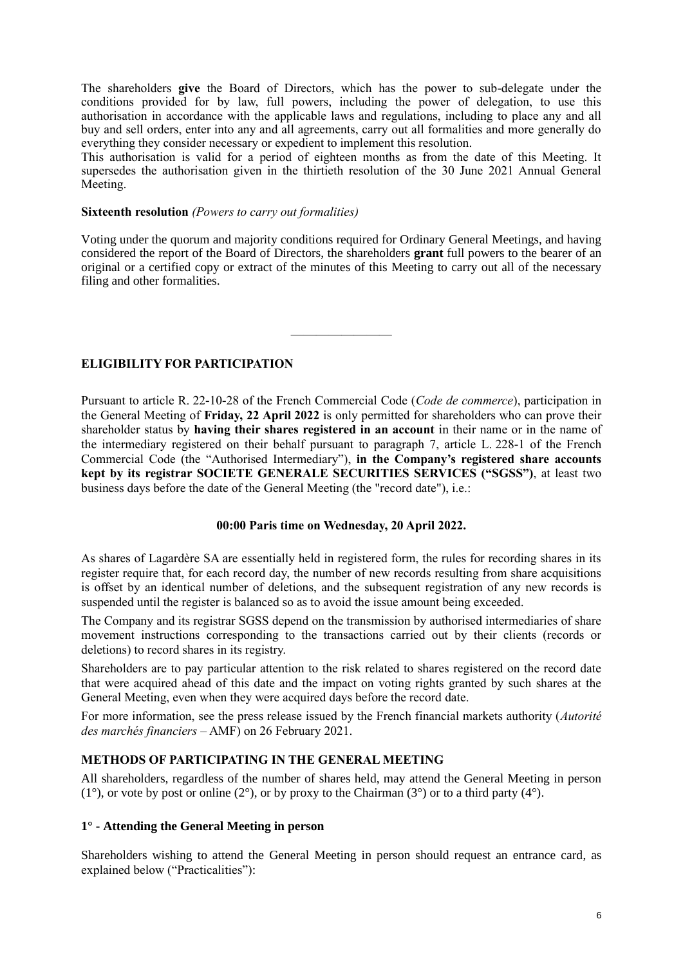The shareholders **give** the Board of Directors, which has the power to sub-delegate under the conditions provided for by law, full powers, including the power of delegation, to use this authorisation in accordance with the applicable laws and regulations, including to place any and all buy and sell orders, enter into any and all agreements, carry out all formalities and more generally do everything they consider necessary or expedient to implement this resolution.

This authorisation is valid for a period of eighteen months as from the date of this Meeting. It supersedes the authorisation given in the thirtieth resolution of the 30 June 2021 Annual General Meeting.

#### **Sixteenth resolution** *(Powers to carry out formalities)*

Voting under the quorum and majority conditions required for Ordinary General Meetings, and having considered the report of the Board of Directors, the shareholders **grant** full powers to the bearer of an original or a certified copy or extract of the minutes of this Meeting to carry out all of the necessary filing and other formalities.

————————

### **ELIGIBILITY FOR PARTICIPATION**

Pursuant to article R. 22-10-28 of the French Commercial Code (*Code de commerce*), participation in the General Meeting of **Friday, 22 April 2022** is only permitted for shareholders who can prove their shareholder status by **having their shares registered in an account** in their name or in the name of the intermediary registered on their behalf pursuant to paragraph 7, article L. 228-1 of the French Commercial Code (the "Authorised Intermediary"), **in the Company's registered share accounts kept by its registrar SOCIETE GENERALE SECURITIES SERVICES ("SGSS")**, at least two business days before the date of the General Meeting (the "record date"), i.e.:

### **00:00 Paris time on Wednesday, 20 April 2022.**

As shares of Lagardère SA are essentially held in registered form, the rules for recording shares in its register require that, for each record day, the number of new records resulting from share acquisitions is offset by an identical number of deletions, and the subsequent registration of any new records is suspended until the register is balanced so as to avoid the issue amount being exceeded.

The Company and its registrar SGSS depend on the transmission by authorised intermediaries of share movement instructions corresponding to the transactions carried out by their clients (records or deletions) to record shares in its registry.

Shareholders are to pay particular attention to the risk related to shares registered on the record date that were acquired ahead of this date and the impact on voting rights granted by such shares at the General Meeting, even when they were acquired days before the record date.

For more information, see the press release issued by the French financial markets authority (*Autorité des marchés financiers* – AMF) on 26 February 2021.

### **METHODS OF PARTICIPATING IN THE GENERAL MEETING**

All shareholders, regardless of the number of shares held, may attend the General Meeting in person  $(1^{\circ})$ , or vote by post or online  $(2^{\circ})$ , or by proxy to the Chairman  $(3^{\circ})$  or to a third party  $(4^{\circ})$ .

### **1° - Attending the General Meeting in person**

Shareholders wishing to attend the General Meeting in person should request an entrance card, as explained below ("Practicalities"):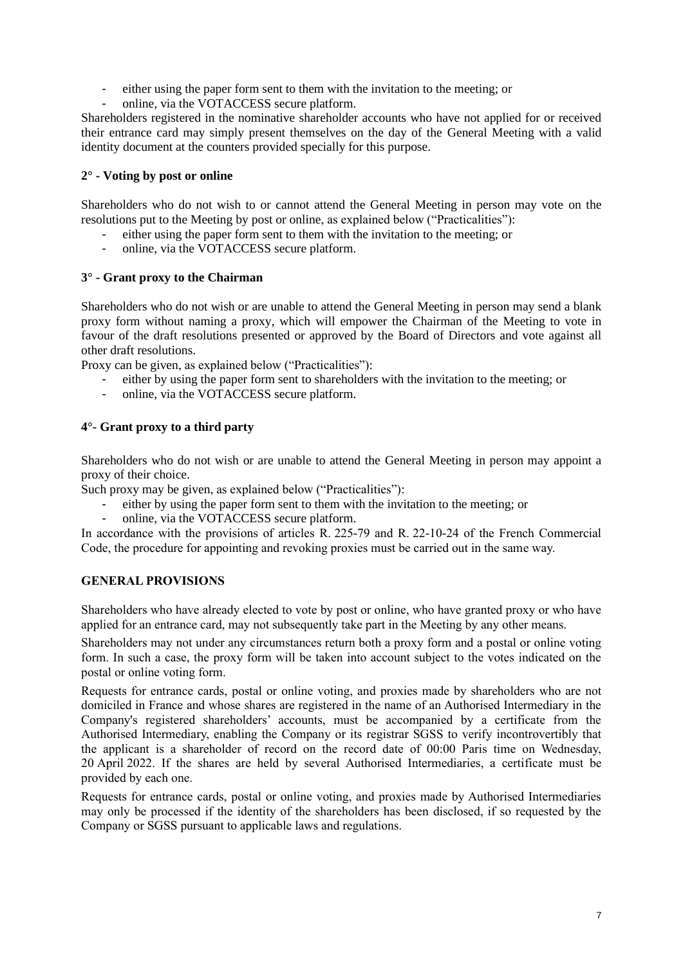- either using the paper form sent to them with the invitation to the meeting; or
- online, via the VOTACCESS secure platform.

Shareholders registered in the nominative shareholder accounts who have not applied for or received their entrance card may simply present themselves on the day of the General Meeting with a valid identity document at the counters provided specially for this purpose.

# **2° - Voting by post or online**

Shareholders who do not wish to or cannot attend the General Meeting in person may vote on the resolutions put to the Meeting by post or online, as explained below ("Practicalities"):

- either using the paper form sent to them with the invitation to the meeting; or
- online, via the VOTACCESS secure platform.

## **3° - Grant proxy to the Chairman**

Shareholders who do not wish or are unable to attend the General Meeting in person may send a blank proxy form without naming a proxy, which will empower the Chairman of the Meeting to vote in favour of the draft resolutions presented or approved by the Board of Directors and vote against all other draft resolutions.

Proxy can be given, as explained below ("Practicalities"):

- either by using the paper form sent to shareholders with the invitation to the meeting; or
- online, via the VOTACCESS secure platform.

## **4°- Grant proxy to a third party**

Shareholders who do not wish or are unable to attend the General Meeting in person may appoint a proxy of their choice.

Such proxy may be given, as explained below ("Practicalities"):

- either by using the paper form sent to them with the invitation to the meeting; or
- online, via the VOTACCESS secure platform.

In accordance with the provisions of articles R. 225-79 and R. 22-10-24 of the French Commercial Code, the procedure for appointing and revoking proxies must be carried out in the same way.

# **GENERAL PROVISIONS**

Shareholders who have already elected to vote by post or online, who have granted proxy or who have applied for an entrance card, may not subsequently take part in the Meeting by any other means.

Shareholders may not under any circumstances return both a proxy form and a postal or online voting form. In such a case, the proxy form will be taken into account subject to the votes indicated on the postal or online voting form.

Requests for entrance cards, postal or online voting, and proxies made by shareholders who are not domiciled in France and whose shares are registered in the name of an Authorised Intermediary in the Company's registered shareholders' accounts, must be accompanied by a certificate from the Authorised Intermediary, enabling the Company or its registrar SGSS to verify incontrovertibly that the applicant is a shareholder of record on the record date of 00:00 Paris time on Wednesday, 20 April 2022. If the shares are held by several Authorised Intermediaries, a certificate must be provided by each one.

Requests for entrance cards, postal or online voting, and proxies made by Authorised Intermediaries may only be processed if the identity of the shareholders has been disclosed, if so requested by the Company or SGSS pursuant to applicable laws and regulations.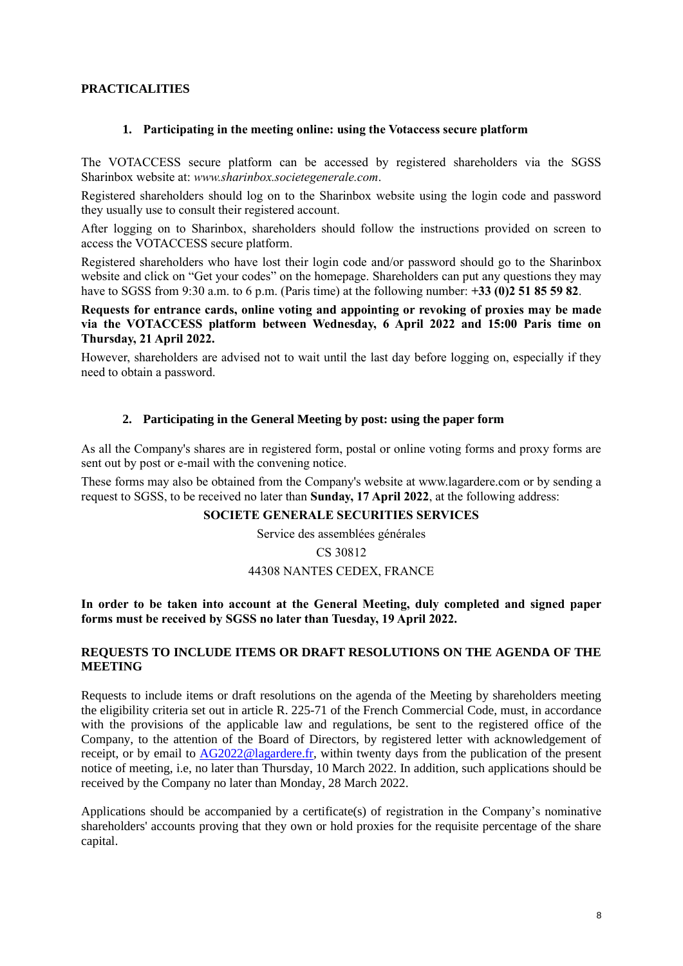# **PRACTICALITIES**

#### **1. Participating in the meeting online: using the Votaccess secure platform**

The VOTACCESS secure platform can be accessed by registered shareholders via the SGSS Sharinbox website at: *www.sharinbox.societegenerale.com*.

Registered shareholders should log on to the Sharinbox website using the login code and password they usually use to consult their registered account.

After logging on to Sharinbox, shareholders should follow the instructions provided on screen to access the VOTACCESS secure platform.

Registered shareholders who have lost their login code and/or password should go to the Sharinbox website and click on "Get your codes" on the homepage. Shareholders can put any questions they may have to SGSS from 9:30 a.m. to 6 p.m. (Paris time) at the following number: **+33 (0)2 51 85 59 82**.

**Requests for entrance cards, online voting and appointing or revoking of proxies may be made via the VOTACCESS platform between Wednesday, 6 April 2022 and 15:00 Paris time on Thursday, 21 April 2022.**

However, shareholders are advised not to wait until the last day before logging on, especially if they need to obtain a password.

#### **2. Participating in the General Meeting by post: using the paper form**

As all the Company's shares are in registered form, postal or online voting forms and proxy forms are sent out by post or e-mail with the convening notice.

These forms may also be obtained from the Company's website at www.lagardere.com or by sending a request to SGSS, to be received no later than **Sunday, 17 April 2022**, at the following address:

#### **SOCIETE GENERALE SECURITIES SERVICES**

Service des assemblées générales

CS 30812

# 44308 NANTES CEDEX, FRANCE

**In order to be taken into account at the General Meeting, duly completed and signed paper forms must be received by SGSS no later than Tuesday, 19 April 2022.**

#### **REQUESTS TO INCLUDE ITEMS OR DRAFT RESOLUTIONS ON THE AGENDA OF THE MEETING**

Requests to include items or draft resolutions on the agenda of the Meeting by shareholders meeting the eligibility criteria set out in article R. 225-71 of the French Commercial Code, must, in accordance with the provisions of the applicable law and regulations, be sent to the registered office of the Company, to the attention of the Board of Directors, by registered letter with acknowledgement of receipt, or by email to [AG2022@lagardere.fr,](mailto:AG2022@lagardere.fr) within twenty days from the publication of the present notice of meeting, i.e, no later than Thursday, 10 March 2022. In addition, such applications should be received by the Company no later than Monday, 28 March 2022.

Applications should be accompanied by a certificate(s) of registration in the Company's nominative shareholders' accounts proving that they own or hold proxies for the requisite percentage of the share capital.